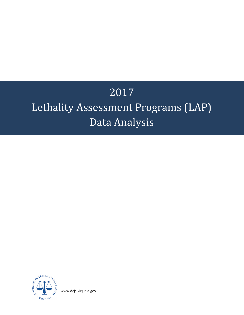# 2017

## Lethality Assessment Programs (LAP) Data Analysis



[www.dcjs.virginia.gov](http://www.dcjs.virginia.gov/)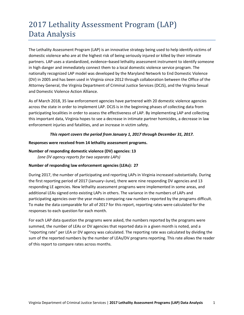### 2017 Lethality Assessment Program (LAP) Data Analysis

The Lethality Assessment Program (LAP) is an innovative strategy being used to help identify victims of domestic violence who are at the highest risk of being seriously injured or killed by their intimate partners. LAP uses a standardized, evidence–based lethality assessment instrument to identify someone in high danger and immediately connect them to a local domestic violence service program. The nationally recognized LAP model was developed by the Maryland Network to End Domestic Violence (DV) in 2005 and has been used in Virginia since 2012 through collaboration between the Office of the Attorney General, the Virginia Department of Criminal Justice Services (DCJS), and the Virginia Sexual and Domestic Violence Action Alliance.

As of March 2018, 35 law enforcement agencies have partnered with 20 domestic violence agencies across the state in order to implement LAP. DCJS is in the beginning phases of collecting data from participating localities in order to assess the effectiveness of LAP. By implementing LAP and collecting this important data, Virginia hopes to see a decrease in intimate partner homicides, a decrease in law enforcement injuries and fatalities, and an increase in victim safety.

#### *This report covers the period from January 1, 2017 through December 31, 2017.*

#### **Responses were received from 14 lethality assessment programs.**

### **Number of responding domestic violence (DV) agencies: 13**

*(one DV agency reports for two separate LAPs)* 

#### **Number of responding law enforcement agencies (LEAs): 27**

During 2017, the number of participating and reporting LAPs in Virginia increased substantially. During the first reporting period of 2017 (January–June), there were nine responding DV agencies and 13 responding LE agencies. New lethality assessment programs were implemented in some areas, and additional LEAs signed onto existing LAPs in others. The variance in the numbers of LAPs and participating agencies over the year makes comparing raw numbers reported by the programs difficult. To make the data comparable for all of 2017 for this report, reporting rates were calculated for the responses to each question for each month.

For each LAP data question the programs were asked, the numbers reported by the programs were summed, the number of LEAs or DV agencies that reported data in a given month is noted, and a "reporting rate" per LEA or DV agency was calculated. The reporting rate was calculated by dividing the sum of the reported numbers by the number of LEAs/DV programs reporting. This rate allows the reader of this report to compare rates across months.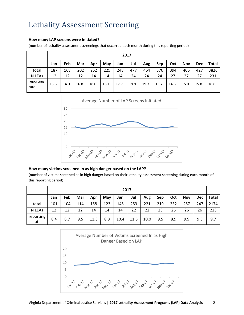#### **How many LAP screens were initiated?**

(number of lethality assessment screenings that occurred each month during this reporting period)

|                   |      |      |      |      |      | 2017 |      |      |      |      |            |            |              |
|-------------------|------|------|------|------|------|------|------|------|------|------|------------|------------|--------------|
|                   | Jan  | Feb  | Mar  | Apr  | May  | Jun  | Jul  | Aug  | Sep  | Oct  | <b>Nov</b> | <b>Dec</b> | <b>Total</b> |
| total             | 187  | 168  | 202  | 252  | 225  | 248  | 477  | 464  | 376  | 394  | 406        | 427        | 3826         |
| N LEAs            | 12   | 12   | 12   | 14   | 14   | 14   | 24   | 24   | 24   | 27   | 27         | 27         | 231          |
| reporting<br>rate | 15.6 | 14.0 | 16.8 | 18.0 | 16.1 | 17.7 | 19.9 | 19.3 | 15.7 | 14.6 | 15.0       | 15.8       | 16.6         |



#### **How many victims screened in as high danger based on the LAP?**

(number of victims screened as in high danger based on their lethality assessment screening during each month of this reporting period)

|                   |     |     |     |      |     | 2017 |      |      |     |     |            |            |              |
|-------------------|-----|-----|-----|------|-----|------|------|------|-----|-----|------------|------------|--------------|
|                   | Jan | Feb | Mar | Apr  | May | Jun  | Jul  | Aug  | Sep | Oct | <b>Nov</b> | <b>Dec</b> | <b>Total</b> |
| total             | 101 | 104 | 114 | 158  | 123 | 145  | 253  | 221  | 219 | 232 | 257        | 247        | 2174         |
| N LEAs            | 12  | 12  | 12  | 14   | 14  | 14   | 22   | 22   | 23  | 26  | 26         | 26         | 223          |
| reporting<br>rate | 8.4 | 8.7 | 9.5 | 11.3 | 8.8 | 10.4 | 11.5 | 10.0 | 9.5 | 8.9 | 9.9        | 9.5        | 9.7          |

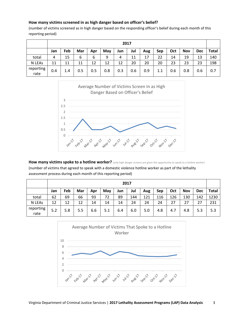#### **How many victims screened in as high danger based on officer's belief?**

(number of victims screened as in high danger based on the responding officer's belief during each month of this reporting period)

|                   |     |     |     |     |     |     | 2017 |     |     |     |            |            |              |
|-------------------|-----|-----|-----|-----|-----|-----|------|-----|-----|-----|------------|------------|--------------|
|                   | Jan | Feb | Mar | Apr | May | Jun | Jul  | Aug | Sep | Oct | <b>Nov</b> | <b>Dec</b> | <b>Total</b> |
| total             | 4   | 15  | 6   | 6   | 9   | 4   | 11   | 17  | 22  | 14  | 19         | 13         | 140          |
| N LEAs            | 11  | 11  | 11  | 12  | 12  | 12  | 20   | 20  | 20  | 23  | 23         | 23         | 198          |
| reporting<br>rate | 0.4 | 1.4 | 0.5 | 0.5 | 0.8 | 0.3 | 0.6  | 0.9 | 1.1 | 0.6 | 0.8        | 0.6        | 0.7          |



How many victims spoke to a hotline worker? (only high danger screens are given the opportunity to speak to a hotline worker)

(number of victims that agreed to speak with a domestic violence hotline worker as part of the lethality assessment process during each month of this reporting period)

|                   |     |     |     |     |     | 2017 |     |     |     |     |            |            |              |
|-------------------|-----|-----|-----|-----|-----|------|-----|-----|-----|-----|------------|------------|--------------|
|                   | Jan | Feb | Mar | Apr | May | Jun  | Jul | Aug | Sep | Oct | <b>Nov</b> | <b>Dec</b> | <b>Total</b> |
| total             | 62  | 69  | 66  | 93  | 72  | 89   | 144 | 121 | 116 | 126 | 130        | 142        | 1230         |
| N LEAs            | 12  | 12  | 12  | 14  | 14  | 14   | 24  | 24  | 24  | 27  | 27         | 27         | 231          |
| reporting<br>rate | 5.2 | 5.8 | 5.5 | 6.6 | 5.1 | 6.4  | 6.0 | 5.0 | 4.8 | 4.7 | 4.8        | 5.3        | 5.3          |

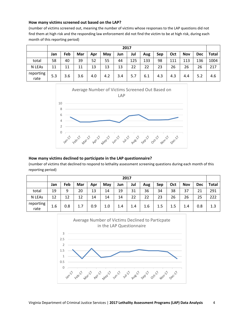#### **How many victims screened out based on the LAP?**

(number of victims screened out, meaning the number of victims whose responses to the LAP questions did not find them at high risk and the responding law enforcement did not find the victim to be at high risk, during each month of this reporting period)

|                   |     |     |     |     |     | 2017 |     |     |     |     |            |            |              |
|-------------------|-----|-----|-----|-----|-----|------|-----|-----|-----|-----|------------|------------|--------------|
|                   | Jan | Feb | Mar | Apr | May | Jun  | Jul | Aug | Sep | Oct | <b>Nov</b> | <b>Dec</b> | <b>Total</b> |
| total             | 58  | 40  | 39  | 52  | 55  | 44   | 125 | 133 | 98  | 111 | 113        | 136        | 1004         |
| N LEAs            | 11  | 11  | 11  | 13  | 13  | 13   | 22  | 22  | 23  | 26  | 26         | 26         | 217          |
| reporting<br>rate | 5.3 | 3.6 | 3.6 | 4.0 | 4.2 | 3.4  | 5.7 | 6.1 | 4.3 | 4.3 | 4.4        | 5.2        | 4.6          |



#### **How many victims declined to participate in the LAP questionnaire?**

(number of victims that declined to respond to lethality assessment screening questions during each month of this reporting period)

|                   |     |     |     |     |     |     | 2017 |     |     |     |            |            |              |
|-------------------|-----|-----|-----|-----|-----|-----|------|-----|-----|-----|------------|------------|--------------|
|                   | Jan | Feb | Mar | Apr | May | Jun | Jul  | Aug | Sep | Oct | <b>Nov</b> | <b>Dec</b> | <b>Total</b> |
| total             | 19  | 9   | 20  | 13  | 14  | 19  | 31   | 36  | 34  | 38  | 37         | 21         | 291          |
| N LEAs            | 12  | 12  | 12  | 14  | 14  | 14  | 22   | 22  | 23  | 26  | 26         | 25         | 222          |
| reporting<br>rate | 1.6 | 0.8 | 1.7 | 0.9 | 1.0 | 1.4 | 1.4  | 1.6 | 1.5 | 1.5 | 1.4        | 0.8        | 1.3          |

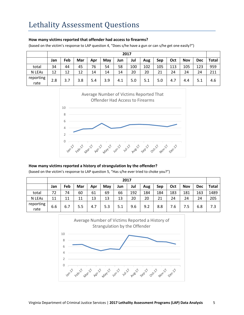#### **How many victims reported that offender had access to firearms?**

(based on the victim's response to LAP question 4, "Does s/he have a gun or can s/he get one easily?")

|                   |     |     |     |     |     | 2017 |     |     |     |     |            |            |              |
|-------------------|-----|-----|-----|-----|-----|------|-----|-----|-----|-----|------------|------------|--------------|
|                   | Jan | Feb | Mar | Apr | May | Jun  | Jul | Aug | Sep | Oct | <b>Nov</b> | <b>Dec</b> | <b>Total</b> |
| total             | 34  | 44  | 45  | 76  | 54  | 58   | 100 | 102 | 105 | 113 | 105        | 123        | 959          |
| N LEAs            | 12  | 12  | 12  | 14  | 14  | 14   | 20  | 20  | 21  | 24  | 24         | 24         | 211          |
| reporting<br>rate | 2.8 | 3.7 | 3.8 | 5.4 | 3.9 | 4.1  | 5.0 | 5.1 | 5.0 | 4.7 | 4.4        | 5.1        | 4.6          |



#### **How many victims reported a history of strangulation by the offender?**

(based on the victim's response to LAP question 5, "Has s/he ever tried to choke you?")

|                   |     |     |     |     |     |     | 2017 |     |     |     |            |            |              |
|-------------------|-----|-----|-----|-----|-----|-----|------|-----|-----|-----|------------|------------|--------------|
|                   | Jan | Feb | Mar | Apr | May | Jun | Jul  | Aug | Sep | Oct | <b>Nov</b> | <b>Dec</b> | <b>Total</b> |
| total             | 72  | 74  | 60  | 61  | 69  | 66  | 192  | 184 | 184 | 183 | 181        | 163        | 1489         |
| N LEAs            | 11  | 11  | 11  | 13  | 13  | 13  | 20   | 20  | 21  | 24  | 24         | 24         | 205          |
| reporting<br>rate | 6.6 | 6.7 | 5.5 | 4.7 | 5.3 | 5.1 | 9.6  | 9.2 | 8.8 | 7.6 | 7.5        | 6.8        | 7.3          |

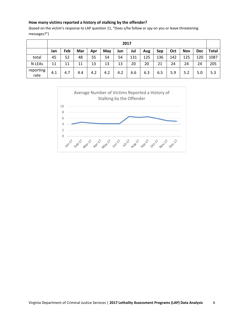#### **How many victims reported a history of stalking by the offender?**

(based on the victim's response to LAP question 11, "Does s/he follow or spy on you or leave threatening messages?")

|                   |     |     |     |     |     |     | 2017 |     |     |     |            |            |              |
|-------------------|-----|-----|-----|-----|-----|-----|------|-----|-----|-----|------------|------------|--------------|
|                   | Jan | Feb | Mar | Apr | May | Jun | Jul  | Aug | Sep | Oct | <b>Nov</b> | <b>Dec</b> | <b>Total</b> |
| total             | 45  | 52  | 48  | 55  | 54  | 54  | 131  | 125 | 136 | 142 | 125        | 120        | 1087         |
| N LEAs            | 11  | 11  | 11  | 13  | 13  | 13  | 20   | 20  | 21  | 24  | 24         | 24         | 205          |
| reporting<br>rate | 4.1 | 4.7 | 4.4 | 4.2 | 4.2 | 4.2 | 6.6  | 6.3 | 6.5 | 5.9 | 5.2        | 5.0        | 5.3          |

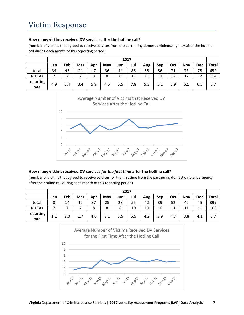#### **How many victims received DV services after the hotline call?**

(number of victims that agreed to receive services from the partnering domestic violence agency after the hotline call during each month of this reporting period)

|                   |     |     |     |     |     | 2017 |     |     |     |     |            |            |       |
|-------------------|-----|-----|-----|-----|-----|------|-----|-----|-----|-----|------------|------------|-------|
|                   | Jan | Feb | Mar | Apr | May | Jun  | Jul | Aug | Sep | Oct | <b>Nov</b> | <b>Dec</b> | Total |
| total             | 34  | 45  | 24  | 47  | 36  | 44   | 86  | 58  | 56  | 71  | 73         | 78         | 652   |
| N LEAs            | –   |     |     | 8   | 8   | 8    | 11  | 11  | 11  | 12  | 12         | 12         | 114   |
| reporting<br>rate | 4.9 | 6.4 | 3.4 | 5.9 | 4.5 | 5.5  | 7.8 | 5.3 | 5.1 | 5.9 | 6.1        | 6.5        | 5.7   |



#### **How many victims received DV services** *for the first time* **after the hotline call?**

(number of victims that agreed to receive services for the first time from the partnering domestic violence agency after the hotline call during each month of this reporting period)

|                   |     |     |     |     |     |     | 2017 |     |     |     |            |            |              |
|-------------------|-----|-----|-----|-----|-----|-----|------|-----|-----|-----|------------|------------|--------------|
|                   | Jan | Feb | Mar | Apr | May | Jun | Jul  | Aug | Sep | Oct | <b>Nov</b> | <b>Dec</b> | <b>Total</b> |
| total             | 8   | 14  | 12  | 37  | 25  | 28  | 55   | 42  | 39  | 52  | 42         | 45         | 399          |
| N LEAs            |     |     |     | 8   | 8   | 8   | 10   | 10  | 10  | 11  | 11         | 11         | 108          |
| reporting<br>rate | 1.1 | 2.0 | 1.7 | 4.6 | 3.1 | 3.5 | 5.5  | 4.2 | 3.9 | 4.7 | 3.8        | 4.1        | 3.7          |

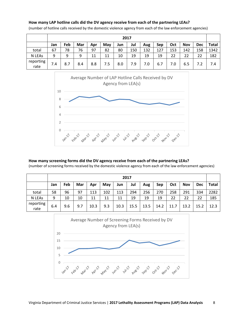#### **How many LAP hotline calls did the DV agency receive from each of the partnering LEAs?**

|                   |     |     |     |     |     |     | 2017 |     |     |     |            |            |       |
|-------------------|-----|-----|-----|-----|-----|-----|------|-----|-----|-----|------------|------------|-------|
|                   | Jan | Feb | Mar | Apr | May | Jun | Jul  | Aug | Sep | Oct | <b>Nov</b> | <b>Dec</b> | Total |
| total             | 67  | 78  | 76  | 97  | 82  | 80  | 150  | 132 | 127 | 153 | 142        | 158        | 1342  |
| N LEAs            | 9   | 9   | 9   | 11  | 11  | 10  | 19   | 19  | 19  | 22  | 22         | 22         | 182   |
| reporting<br>rate | 7.4 | 8.7 | 8.4 | 8.8 | 7.5 | 8.0 | 7.9  | 7.0 | 6.7 | 7.0 | 6.5        |            | 7.4   |

(number of hotline calls received by the domestic violence agency from each of the law enforcement agencies)



#### **How many screening forms did the DV agency receive from each of the partnering LEAs?**

(number of screening forms received by the domestic violence agency from each of the law enforcement agencies)

|                   | 2017 |     |     |      |     |      |      |      |      |      |            |            |              |
|-------------------|------|-----|-----|------|-----|------|------|------|------|------|------------|------------|--------------|
|                   | Jan  | Feb | Mar | Apr  | May | Jun  | Jul  | Aug  | Sep  | Oct  | <b>Nov</b> | <b>Dec</b> | <b>Total</b> |
| total             | 58   | 96  | 97  | 113  | 102 | 113  | 294  | 256  | 270  | 258  | 291        | 334        | 2282         |
| N LEAs            | 9    | 10  | 10  | 11   | 11  | 11   | 19   | 19   | 19   | 22   | 22         | 22         | 185          |
| reporting<br>rate | 6.4  | 9.6 | 9.7 | 10.3 | 9.3 | 10.3 | 15.5 | 13.5 | 14.2 | 11.7 | 13.2       | 15.2       | 12.3         |

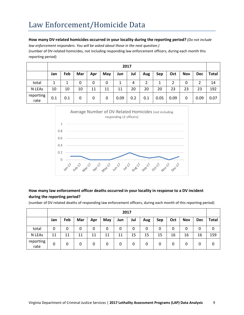#### **How many DV-related homicides occurred in your locality during the reporting period?** *(Do not include*

*law enforcement responders. You will be asked about those in the next question.)*

(number of DV-related homicides, not including responding law enforcement officers, during each month this reporting period)

|                   | 2017 |     |     |     |     |      |     |     |      |      |            |            |       |
|-------------------|------|-----|-----|-----|-----|------|-----|-----|------|------|------------|------------|-------|
|                   | Jan  | Feb | Mar | Apr | May | Jun  | Jul | Aug | Sep  | Oct  | <b>Nov</b> | <b>Dec</b> | Total |
| total             | 1    |     | 0   | 0   | 0   |      | 4   | 2   | 1    | 2    | 0          |            | 14    |
| N LEAs            | 10   | 10  | 10  | 11  | 11  | 11   | 20  | 20  | 20   | 23   | 23         | 23         | 192   |
| reporting<br>rate | 0.1  | 0.1 | 0   | 0   | 0   | 0.09 | 0.2 | 0.1 | 0.05 | 0.09 | 0          | 0.09       | 0.07  |



#### **How many law enforcement officer deaths occurred in your locality in response to a DV incident during the reporting period?**

(number of DV-related deaths of responding law enforcement officers, during each month of this reporting period)

|                   | 2017 |     |     |     |     |     |     |     |     |     |            |            |              |
|-------------------|------|-----|-----|-----|-----|-----|-----|-----|-----|-----|------------|------------|--------------|
|                   | Jan  | Feb | Mar | Apr | May | Jun | Jul | Aug | Sep | Oct | <b>Nov</b> | <b>Dec</b> | <b>Total</b> |
| total             | 0    | 0   | 0   | 0   | 0   | 0   | 0   | 0   | 0   | 0   | 0          |            | 0            |
| N LEAs            | 11   | 11  | 11  | 11  | 11  | 11  | 15  | 15  | 15  | 16  | 16         | 16         | 159          |
| reporting<br>rate | 0    | 0   | 0   | 0   | 0   | 0   | 0   | 0   | 0   | 0   | 0          | 0          | 0            |